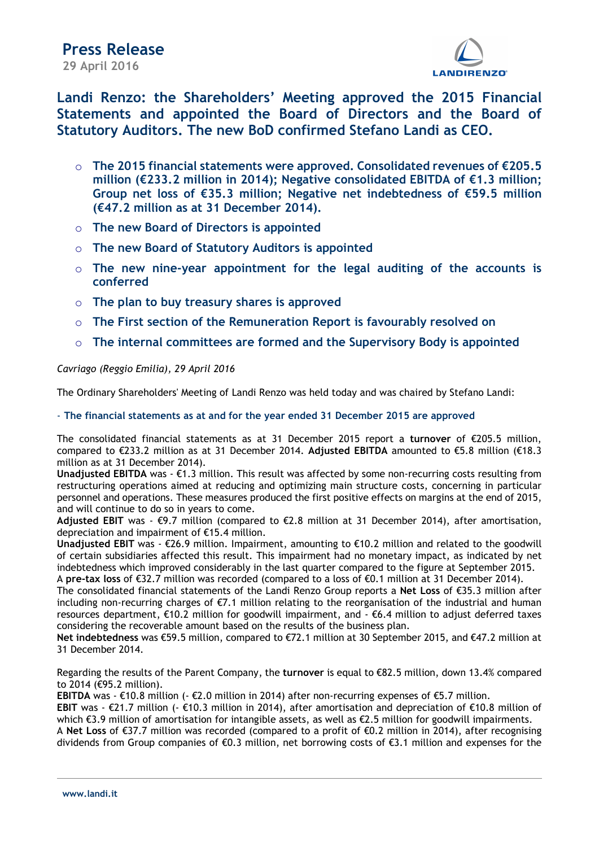

Landi Renzo: the Shareholders' Meeting approved the 2015 Financial Statements and appointed the Board of Directors and the Board of Statutory Auditors. The new BoD confirmed Stefano Landi as CEO.

- o The 2015 financial statements were approved. Consolidated revenues of €205.5 million (€233.2 million in 2014); Negative consolidated EBITDA of €1.3 million; Group net loss of €35.3 million; Negative net indebtedness of €59.5 million (€47.2 million as at 31 December 2014).
- o The new Board of Directors is appointed
- o The new Board of Statutory Auditors is appointed
- $\circ$  The new nine-year appointment for the legal auditing of the accounts is conferred
- $\circ$  The plan to buy treasury shares is approved
- $\circ$  The First section of the Remuneration Report is favourably resolved on
- $\circ$  The internal committees are formed and the Supervisory Body is appointed

# Cavriago (Reggio Emilia), 29 April 2016

The Ordinary Shareholders' Meeting of Landi Renzo was held today and was chaired by Stefano Landi:

- The financial statements as at and for the year ended 31 December 2015 are approved

The consolidated financial statements as at 31 December 2015 report a turnover of €205.5 million, compared to €233.2 million as at 31 December 2014. Adjusted EBITDA amounted to €5.8 million (€18.3 million as at 31 December 2014).

**Unadjusted EBITDA** was  $-\epsilon$ 1.3 million. This result was affected by some non-recurring costs resulting from restructuring operations aimed at reducing and optimizing main structure costs, concerning in particular personnel and operations. These measures produced the first positive effects on margins at the end of 2015, and will continue to do so in years to come.

Adjusted EBIT was -  $\epsilon$ 9.7 million (compared to  $\epsilon$ 2.8 million at 31 December 2014), after amortisation, depreciation and impairment of €15.4 million.

Unadjusted EBIT was - €26.9 million. Impairment, amounting to €10.2 million and related to the goodwill of certain subsidiaries affected this result. This impairment had no monetary impact, as indicated by net indebtedness which improved considerably in the last quarter compared to the figure at September 2015. A pre-tax loss of €32.7 million was recorded (compared to a loss of €0.1 million at 31 December 2014).

The consolidated financial statements of the Landi Renzo Group reports a Net Loss of €35.3 million after including non-recurring charges of €7.1 million relating to the reorganisation of the industrial and human resources department, €10.2 million for goodwill impairment, and - €6.4 million to adjust deferred taxes considering the recoverable amount based on the results of the business plan.

Net indebtedness was €59.5 million, compared to €72.1 million at 30 September 2015, and €47.2 million at 31 December 2014.

Regarding the results of the Parent Company, the turnover is equal to €82.5 million, down 13.4% compared to 2014 (€95.2 million).

EBITDA was - €10.8 million (- €2.0 million in 2014) after non-recurring expenses of €5.7 million.

EBIT was - €21.7 million (- €10.3 million in 2014), after amortisation and depreciation of €10.8 million of which €3.9 million of amortisation for intangible assets, as well as €2.5 million for goodwill impairments.

A Net Loss of €37.7 million was recorded (compared to a profit of €0.2 million in 2014), after recognising dividends from Group companies of €0.3 million, net borrowing costs of €3.1 million and expenses for the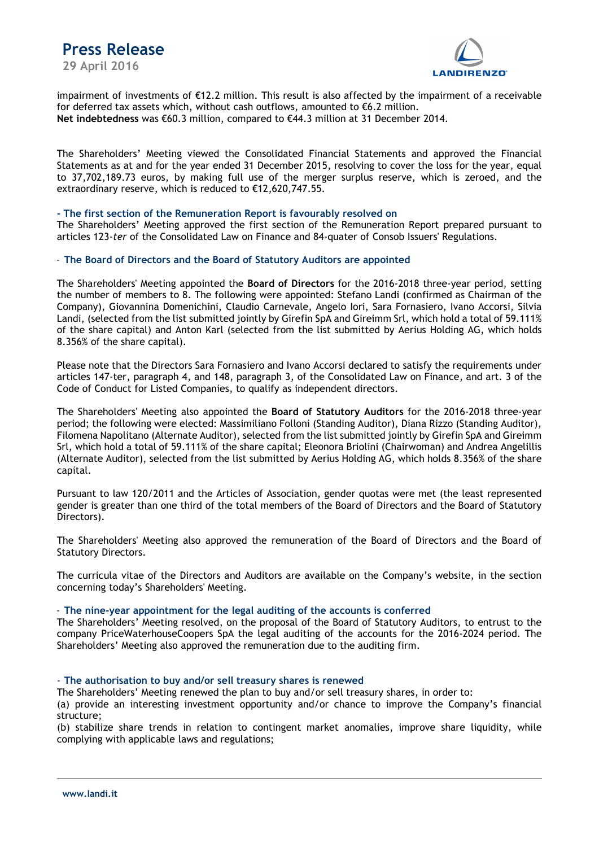

impairment of investments of €12.2 million. This result is also affected by the impairment of a receivable for deferred tax assets which, without cash outflows, amounted to  $\epsilon$ 6.2 million. Net indebtedness was €60.3 million, compared to €44.3 million at 31 December 2014.

The Shareholders' Meeting viewed the Consolidated Financial Statements and approved the Financial Statements as at and for the year ended 31 December 2015, resolving to cover the loss for the year, equal to 37,702,189.73 euros, by making full use of the merger surplus reserve, which is zeroed, and the extraordinary reserve, which is reduced to €12,620,747.55.

# - The first section of the Remuneration Report is favourably resolved on

The Shareholders' Meeting approved the first section of the Remuneration Report prepared pursuant to articles 123-ter of the Consolidated Law on Finance and 84-quater of Consob Issuers' Regulations.

# - The Board of Directors and the Board of Statutory Auditors are appointed

The Shareholders' Meeting appointed the Board of Directors for the 2016-2018 three-year period, setting the number of members to 8. The following were appointed: Stefano Landi (confirmed as Chairman of the Company), Giovannina Domenichini, Claudio Carnevale, Angelo Iori, Sara Fornasiero, Ivano Accorsi, Silvia Landi, (selected from the list submitted jointly by Girefin SpA and Gireimm Srl, which hold a total of 59.111% of the share capital) and Anton Karl (selected from the list submitted by Aerius Holding AG, which holds 8.356% of the share capital).

Please note that the Directors Sara Fornasiero and Ivano Accorsi declared to satisfy the requirements under articles 147-ter, paragraph 4, and 148, paragraph 3, of the Consolidated Law on Finance, and art. 3 of the Code of Conduct for Listed Companies, to qualify as independent directors.

The Shareholders' Meeting also appointed the Board of Statutory Auditors for the 2016-2018 three-year period; the following were elected: Massimiliano Folloni (Standing Auditor), Diana Rizzo (Standing Auditor), Filomena Napolitano (Alternate Auditor), selected from the list submitted jointly by Girefin SpA and Gireimm Srl, which hold a total of 59.111% of the share capital; Eleonora Briolini (Chairwoman) and Andrea Angelillis (Alternate Auditor), selected from the list submitted by Aerius Holding AG, which holds 8.356% of the share capital.

Pursuant to law 120/2011 and the Articles of Association, gender quotas were met (the least represented gender is greater than one third of the total members of the Board of Directors and the Board of Statutory Directors).

The Shareholders' Meeting also approved the remuneration of the Board of Directors and the Board of Statutory Directors.

The curricula vitae of the Directors and Auditors are available on the Company's website, in the section concerning today's Shareholders' Meeting.

# - The nine-year appointment for the legal auditing of the accounts is conferred

The Shareholders' Meeting resolved, on the proposal of the Board of Statutory Auditors, to entrust to the company PriceWaterhouseCoopers SpA the legal auditing of the accounts for the 2016-2024 period. The Shareholders' Meeting also approved the remuneration due to the auditing firm.

#### - The authorisation to buy and/or sell treasury shares is renewed

The Shareholders' Meeting renewed the plan to buy and/or sell treasury shares, in order to:

(a) provide an interesting investment opportunity and/or chance to improve the Company's financial structure;

(b) stabilize share trends in relation to contingent market anomalies, improve share liquidity, while complying with applicable laws and regulations;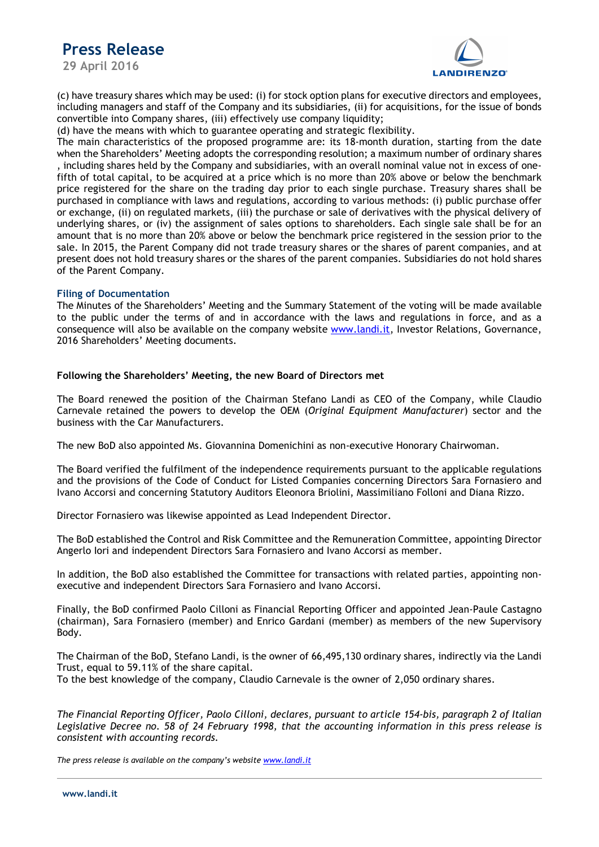# Press Release

29 April 2016



(c) have treasury shares which may be used: (i) for stock option plans for executive directors and employees, including managers and staff of the Company and its subsidiaries, (ii) for acquisitions, for the issue of bonds convertible into Company shares, (iii) effectively use company liquidity;

(d) have the means with which to guarantee operating and strategic flexibility.

The main characteristics of the proposed programme are: its 18-month duration, starting from the date when the Shareholders' Meeting adopts the corresponding resolution; a maximum number of ordinary shares , including shares held by the Company and subsidiaries, with an overall nominal value not in excess of onefifth of total capital, to be acquired at a price which is no more than 20% above or below the benchmark price registered for the share on the trading day prior to each single purchase. Treasury shares shall be purchased in compliance with laws and regulations, according to various methods: (i) public purchase offer or exchange, (ii) on regulated markets, (iii) the purchase or sale of derivatives with the physical delivery of underlying shares, or (iv) the assignment of sales options to shareholders. Each single sale shall be for an amount that is no more than 20% above or below the benchmark price registered in the session prior to the sale. In 2015, the Parent Company did not trade treasury shares or the shares of parent companies, and at present does not hold treasury shares or the shares of the parent companies. Subsidiaries do not hold shares of the Parent Company.

# Filing of Documentation

The Minutes of the Shareholders' Meeting and the Summary Statement of the voting will be made available to the public under the terms of and in accordance with the laws and regulations in force, and as a consequence will also be available on the company website www.landi.it, Investor Relations, Governance, 2016 Shareholders' Meeting documents.

# Following the Shareholders' Meeting, the new Board of Directors met

The Board renewed the position of the Chairman Stefano Landi as CEO of the Company, while Claudio Carnevale retained the powers to develop the OEM (Original Equipment Manufacturer) sector and the business with the Car Manufacturers.

The new BoD also appointed Ms. Giovannina Domenichini as non-executive Honorary Chairwoman.

The Board verified the fulfilment of the independence requirements pursuant to the applicable regulations and the provisions of the Code of Conduct for Listed Companies concerning Directors Sara Fornasiero and Ivano Accorsi and concerning Statutory Auditors Eleonora Briolini, Massimiliano Folloni and Diana Rizzo.

Director Fornasiero was likewise appointed as Lead Independent Director.

The BoD established the Control and Risk Committee and the Remuneration Committee, appointing Director Angerlo Iori and independent Directors Sara Fornasiero and Ivano Accorsi as member.

In addition, the BoD also established the Committee for transactions with related parties, appointing nonexecutive and independent Directors Sara Fornasiero and Ivano Accorsi.

Finally, the BoD confirmed Paolo Cilloni as Financial Reporting Officer and appointed Jean-Paule Castagno (chairman), Sara Fornasiero (member) and Enrico Gardani (member) as members of the new Supervisory Body.

The Chairman of the BoD, Stefano Landi, is the owner of 66,495,130 ordinary shares, indirectly via the Landi Trust, equal to 59.11% of the share capital.

To the best knowledge of the company, Claudio Carnevale is the owner of 2,050 ordinary shares.

The Financial Reporting Officer, Paolo Cilloni, declares, pursuant to article 154-bis, paragraph 2 of Italian Legislative Decree no. 58 of 24 February 1998, that the accounting information in this press release is consistent with accounting records.

The press release is available on the company's website www.landi.it